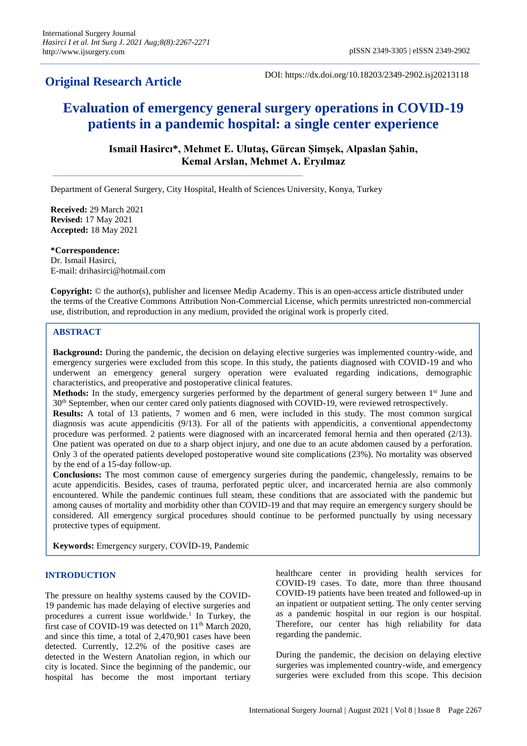# **Original Research Article**

DOI: https://dx.doi.org/10.18203/2349-2902.isj20213118

# **Evaluation of emergency general surgery operations in COVID-19 patients in a pandemic hospital: a single center experience**

# **Ismail Hasircı\*, Mehmet E. Ulutaş, Gürcan Şimşek, Alpaslan Şahin, Kemal Arslan, Mehmet A. Eryılmaz**

Department of General Surgery, City Hospital, Health of Sciences University, Konya, Turkey

**Received:** 29 March 2021 **Revised:** 17 May 2021 **Accepted:** 18 May 2021

**\*Correspondence:** Dr. Ismail Hasirci, E-mail: drihasirci@hotmail.com

**Copyright:** © the author(s), publisher and licensee Medip Academy. This is an open-access article distributed under the terms of the Creative Commons Attribution Non-Commercial License, which permits unrestricted non-commercial use, distribution, and reproduction in any medium, provided the original work is properly cited.

# **ABSTRACT**

**Background:** During the pandemic, the decision on delaying elective surgeries was implemented country-wide, and emergency surgeries were excluded from this scope. In this study, the patients diagnosed with COVID-19 and who underwent an emergency general surgery operation were evaluated regarding indications, demographic characteristics, and preoperative and postoperative clinical features.

**Methods:** In the study, emergency surgeries performed by the department of general surgery between 1<sup>st</sup> June and 30th September, when our center cared only patients diagnosed with COVID-19, were reviewed retrospectively.

**Results:** A total of 13 patients, 7 women and 6 men, were included in this study. The most common surgical diagnosis was acute appendicitis (9/13). For all of the patients with appendicitis, a conventional appendectomy procedure was performed. 2 patients were diagnosed with an incarcerated femoral hernia and then operated (2/13). One patient was operated on due to a sharp object injury, and one due to an acute abdomen caused by a perforation. Only 3 of the operated patients developed postoperative wound site complications (23%). No mortality was observed by the end of a 15-day follow-up.

**Conclusions:** The most common cause of emergency surgeries during the pandemic, changelessly, remains to be acute appendicitis. Besides, cases of trauma, perforated peptic ulcer, and incarcerated hernia are also commonly encountered. While the pandemic continues full steam, these conditions that are associated with the pandemic but among causes of mortality and morbidity other than COVID-19 and that may require an emergency surgery should be considered. All emergency surgical procedures should continue to be performed punctually by using necessary protective types of equipment.

**Keywords:** Emergency surgery, COVİD-19, Pandemic

#### **INTRODUCTION**

The pressure on healthy systems caused by the COVID-19 pandemic has made delaying of elective surgeries and procedures a current issue worldwide.<sup>1</sup> In Turkey, the first case of COVID-19 was detected on  $11<sup>th</sup>$  March 2020, and since this time, a total of 2,470,901 cases have been detected. Currently, 12.2% of the positive cases are detected in the Western Anatolian region, in which our city is located. Since the beginning of the pandemic, our hospital has become the most important tertiary healthcare center in providing health services for COVID-19 cases. To date, more than three thousand COVID-19 patients have been treated and followed-up in an inpatient or outpatient setting. The only center serving as a pandemic hospital in our region is our hospital. Therefore, our center has high reliability for data regarding the pandemic.

During the pandemic, the decision on delaying elective surgeries was implemented country-wide, and emergency surgeries were excluded from this scope. This decision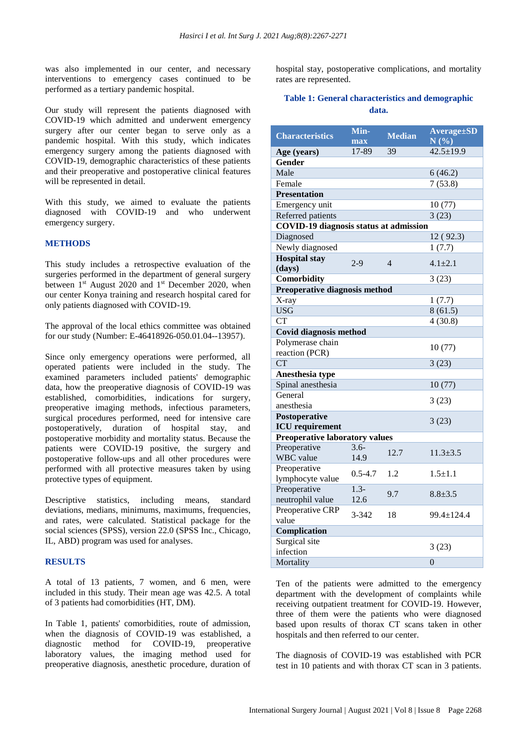was also implemented in our center, and necessary interventions to emergency cases continued to be performed as a tertiary pandemic hospital.

Our study will represent the patients diagnosed with COVID-19 which admitted and underwent emergency surgery after our center began to serve only as a pandemic hospital. With this study, which indicates emergency surgery among the patients diagnosed with COVID-19, demographic characteristics of these patients and their preoperative and postoperative clinical features will be represented in detail.

With this study, we aimed to evaluate the patients diagnosed with COVID-19 and who underwent emergency surgery.

#### **METHODS**

This study includes a retrospective evaluation of the surgeries performed in the department of general surgery between 1<sup>st</sup> August 2020 and 1<sup>st</sup> December 2020, when our center Konya training and research hospital cared for only patients diagnosed with COVID-19.

The approval of the local ethics committee was obtained for our study (Number: E-46418926-050.01.04--13957).

Since only emergency operations were performed, all operated patients were included in the study. The examined parameters included patients' demographic data, how the preoperative diagnosis of COVID-19 was established, comorbidities, indications for surgery, preoperative imaging methods, infectious parameters, surgical procedures performed, need for intensive care postoperatively, duration of hospital stay, and postoperative morbidity and mortality status. Because the patients were COVID-19 positive, the surgery and postoperative follow-ups and all other procedures were performed with all protective measures taken by using protective types of equipment.

Descriptive statistics, including means, standard deviations, medians, minimums, maximums, frequencies, and rates, were calculated. Statistical package for the social sciences (SPSS), version 22.0 (SPSS Inc., Chicago, IL, ABD) program was used for analyses.

#### **RESULTS**

A total of 13 patients, 7 women, and 6 men, were included in this study. Their mean age was 42.5. A total of 3 patients had comorbidities (HT, DM).

In Table 1, patients' comorbidities, route of admission, when the diagnosis of COVID-19 was established, a diagnostic method for COVID-19, preoperative laboratory values, the imaging method used for preoperative diagnosis, anesthetic procedure, duration of hospital stay, postoperative complications, and mortality rates are represented.

## **Table 1: General characteristics and demographic data.**

| <b>Characteristics</b>                        | Min-        | <b>Median</b> | <b>Average</b> ±SD |  |
|-----------------------------------------------|-------------|---------------|--------------------|--|
|                                               | max         |               | $N(\%)$            |  |
| Age (years)                                   | 17-89       | 39            | $42.5 \pm 19.9$    |  |
| Gender                                        |             |               |                    |  |
| Male                                          |             |               | 6(46.2)            |  |
| Female                                        |             |               | 7(53.8)            |  |
| <b>Presentation</b>                           |             |               |                    |  |
| Emergency unit                                |             |               | 10(77)             |  |
| Referred patients                             |             |               | 3(23)              |  |
| <b>COVID-19 diagnosis status at admission</b> |             |               |                    |  |
| Diagnosed                                     |             |               | 12(92.3)           |  |
| Newly diagnosed                               |             |               | 1(7.7)             |  |
| <b>Hospital</b> stay                          |             |               |                    |  |
| (days)                                        | $2 - 9$     | 4             | $4.1 \pm 2.1$      |  |
| Comorbidity                                   |             |               | 3(23)              |  |
| Preoperative diagnosis method                 |             |               |                    |  |
| X-ray                                         |             |               | 1(7.7)             |  |
| <b>USG</b>                                    |             |               | 8(61.5)            |  |
| $\overline{\text{CT}}$                        |             |               | 4(30.8)            |  |
| <b>Covid diagnosis method</b>                 |             |               |                    |  |
| Polymerase chain                              |             |               |                    |  |
| reaction (PCR)                                |             |               | 10(77)             |  |
| <b>CT</b>                                     |             |               | 3(23)              |  |
| Anesthesia type                               |             |               |                    |  |
| Spinal anesthesia                             |             |               | 10(77)             |  |
| General                                       |             |               | 3(23)              |  |
| anesthesia                                    |             |               |                    |  |
| Postoperative                                 |             |               | 3(23)              |  |
| <b>ICU</b> requirement                        |             |               |                    |  |
| Preoperative laboratory values                |             |               |                    |  |
| Preoperative                                  | $3.6 -$     | 12.7          | $11.3 \pm 3.5$     |  |
| <b>WBC</b> value                              | 14.9        |               |                    |  |
| Preoperative                                  | $0.5 - 4.7$ | 1.2           | $1.5 \pm 1.1$      |  |
| lymphocyte value                              |             |               |                    |  |
| Preoperative                                  | $1.3 -$     | 9.7           | $8.8 + 3.5$        |  |
| neutrophil value                              | 12.6        |               |                    |  |
| Preoperative CRP                              | $3 - 342$   | 18            | 99.4±124.4         |  |
| value                                         |             |               |                    |  |
| Complication                                  |             |               |                    |  |
| Surgical site                                 |             |               | 3(23)              |  |
| infection                                     |             |               |                    |  |
| Mortality                                     |             |               | $\overline{0}$     |  |

Ten of the patients were admitted to the emergency department with the development of complaints while receiving outpatient treatment for COVID-19. However, three of them were the patients who were diagnosed based upon results of thorax CT scans taken in other hospitals and then referred to our center.

The diagnosis of COVID-19 was established with PCR test in 10 patients and with thorax CT scan in 3 patients.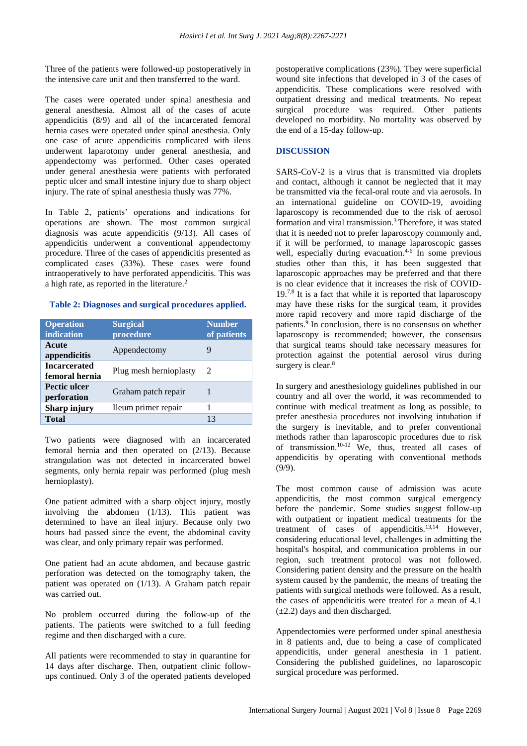Three of the patients were followed-up postoperatively in the intensive care unit and then transferred to the ward.

The cases were operated under spinal anesthesia and general anesthesia. Almost all of the cases of acute appendicitis (8/9) and all of the incarcerated femoral hernia cases were operated under spinal anesthesia. Only one case of acute appendicitis complicated with ileus underwent laparotomy under general anesthesia, and appendectomy was performed. Other cases operated under general anesthesia were patients with perforated peptic ulcer and small intestine injury due to sharp object injury. The rate of spinal anesthesia thusly was 77%.

In Table 2, patients' operations and indications for operations are shown. The most common surgical diagnosis was acute appendicitis (9/13). All cases of appendicitis underwent a conventional appendectomy procedure. Three of the cases of appendicitis presented as complicated cases (33%). These cases were found intraoperatively to have perforated appendicitis. This was a high rate, as reported in the literature.<sup>2</sup>

### **Table 2: Diagnoses and surgical procedures applied.**

| <b>Operation</b><br>indication        | <b>Surgical</b><br>procedure | <b>Number</b><br>of patients |
|---------------------------------------|------------------------------|------------------------------|
| Acute<br>appendicitis                 | Appendectomy                 | 9                            |
| <b>Incarcerated</b><br>femoral hernia | Plug mesh hernioplasty       | $\mathcal{L}$                |
| <b>Pectic ulcer</b><br>perforation    | Graham patch repair          |                              |
| <b>Sharp injury</b>                   | Ileum primer repair          |                              |
| <b>Total</b>                          |                              | 13                           |

Two patients were diagnosed with an incarcerated femoral hernia and then operated on (2/13). Because strangulation was not detected in incarcerated bowel segments, only hernia repair was performed (plug mesh hernioplasty).

One patient admitted with a sharp object injury, mostly involving the abdomen (1/13). This patient was determined to have an ileal injury. Because only two hours had passed since the event, the abdominal cavity was clear, and only primary repair was performed.

One patient had an acute abdomen, and because gastric perforation was detected on the tomography taken, the patient was operated on (1/13). A Graham patch repair was carried out.

No problem occurred during the follow-up of the patients. The patients were switched to a full feeding regime and then discharged with a cure.

All patients were recommended to stay in quarantine for 14 days after discharge. Then, outpatient clinic followups continued. Only 3 of the operated patients developed postoperative complications (23%). They were superficial wound site infections that developed in 3 of the cases of appendicitis. These complications were resolved with outpatient dressing and medical treatments. No repeat surgical procedure was required. Other patients developed no morbidity. No mortality was observed by the end of a 15-day follow-up.

# **DISCUSSION**

SARS-CoV-2 is a virus that is transmitted via droplets and contact, although it cannot be neglected that it may be transmitted via the fecal-oral route and via aerosols. In an international guideline on COVID-19, avoiding laparoscopy is recommended due to the risk of aerosol formation and viral transmission.<sup>3</sup>Therefore, it was stated that it is needed not to prefer laparoscopy commonly and, if it will be performed, to manage laparoscopic gasses well, especially during evacuation.<sup>4-6</sup> In some previous studies other than this, it has been suggested that laparoscopic approaches may be preferred and that there is no clear evidence that it increases the risk of COVID- $19<sup>7,8</sup>$  It is a fact that while it is reported that laparoscopy may have these risks for the surgical team, it provides more rapid recovery and more rapid discharge of the patients.<sup>9</sup> In conclusion, there is no consensus on whether laparoscopy is recommended; however, the consensus that surgical teams should take necessary measures for protection against the potential aerosol virus during surgery is clear.<sup>8</sup>

In surgery and anesthesiology guidelines published in our country and all over the world, it was recommended to continue with medical treatment as long as possible, to prefer anesthesia procedures not involving intubation if the surgery is inevitable, and to prefer conventional methods rather than laparoscopic procedures due to risk of transmission.10-12 We, thus, treated all cases of appendicitis by operating with conventional methods (9/9).

The most common cause of admission was acute appendicitis, the most common surgical emergency before the pandemic. Some studies suggest follow-up with outpatient or inpatient medical treatments for the treatment of cases of appendicitis.<sup>13,14</sup> However, considering educational level, challenges in admitting the hospital's hospital, and communication problems in our region, such treatment protocol was not followed. Considering patient density and the pressure on the health system caused by the pandemic, the means of treating the patients with surgical methods were followed. As a result, the cases of appendicitis were treated for a mean of 4.1  $(\pm 2.2)$  days and then discharged.

Appendectomies were performed under spinal anesthesia in 8 patients and, due to being a case of complicated appendicitis, under general anesthesia in 1 patient. Considering the published guidelines, no laparoscopic surgical procedure was performed.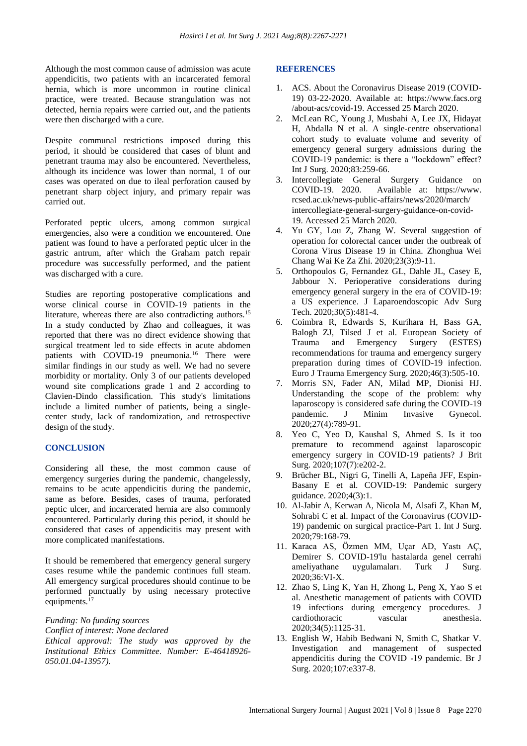Although the most common cause of admission was acute appendicitis, two patients with an incarcerated femoral hernia, which is more uncommon in routine clinical practice, were treated. Because strangulation was not detected, hernia repairs were carried out, and the patients were then discharged with a cure.

Despite communal restrictions imposed during this period, it should be considered that cases of blunt and penetrant trauma may also be encountered. Nevertheless, although its incidence was lower than normal, 1 of our cases was operated on due to ileal perforation caused by penetrant sharp object injury, and primary repair was carried out.

Perforated peptic ulcers, among common surgical emergencies, also were a condition we encountered. One patient was found to have a perforated peptic ulcer in the gastric antrum, after which the Graham patch repair procedure was successfully performed, and the patient was discharged with a cure.

Studies are reporting postoperative complications and worse clinical course in COVID-19 patients in the literature, whereas there are also contradicting authors.<sup>15</sup> In a study conducted by Zhao and colleagues, it was reported that there was no direct evidence showing that surgical treatment led to side effects in acute abdomen patients with COVID-19 pneumonia.<sup>16</sup> There were similar findings in our study as well. We had no severe morbidity or mortality. Only 3 of our patients developed wound site complications grade 1 and 2 according to Clavien-Dindo classification. This study's limitations include a limited number of patients, being a singlecenter study, lack of randomization, and retrospective design of the study.

## **CONCLUSION**

Considering all these, the most common cause of emergency surgeries during the pandemic, changelessly, remains to be acute appendicitis during the pandemic, same as before. Besides, cases of trauma, perforated peptic ulcer, and incarcerated hernia are also commonly encountered. Particularly during this period, it should be considered that cases of appendicitis may present with more complicated manifestations.

It should be remembered that emergency general surgery cases resume while the pandemic continues full steam. All emergency surgical procedures should continue to be performed punctually by using necessary protective equipments.<sup>17</sup>

*Funding: No funding sources Conflict of interest: None declared Ethical approval: The study was approved by the Institutional Ethics Committee. Number: E-46418926- 050.01.04-13957).*

### **REFERENCES**

- 1. ACS. About the Coronavirus Disease 2019 (COVID-19) 03-22-2020. Available at: https://www.facs.org /about-acs/covid-19. Accessed 25 March 2020.
- 2. McLean RC, Young J, Musbahi A, Lee JX, Hidayat H, Abdalla N et al. A single-centre observational cohort study to evaluate volume and severity of emergency general surgery admissions during the COVID-19 pandemic: is there a "lockdown" effect? Int J Surg. 2020;83:259-66.
- 3. Intercollegiate General Surgery Guidance on COVID-19. 2020. Available at: https://www. rcsed.ac.uk/news-public-affairs/news/2020/march/ intercollegiate-general-surgery-guidance-on-covid-19. Accessed 25 March 2020.
- 4. Yu GY, Lou Z, Zhang W. Several suggestion of operation for colorectal cancer under the outbreak of Corona Virus Disease 19 in China. Zhonghua Wei Chang Wai Ke Za Zhi. 2020;23(3):9-11.
- 5. Orthopoulos G, Fernandez GL, Dahle JL, Casey E, Jabbour N. Perioperative considerations during emergency general surgery in the era of COVID-19: a US experience. J Laparoendoscopic Adv Surg Tech. 2020;30(5):481-4.
- 6. Coimbra R, Edwards S, Kurihara H, Bass GA, Balogh ZJ, Tilsed J et al. European Society of Trauma and Emergency Surgery (ESTES) recommendations for trauma and emergency surgery preparation during times of COVID-19 infection. Euro J Trauma Emergency Surg. 2020;46(3):505-10.
- 7. Morris SN, Fader AN, Milad MP, Dionisi HJ. Understanding the scope of the problem: why laparoscopy is considered safe during the COVID-19 pandemic. J Minim Invasive Gynecol. 2020;27(4):789-91.
- 8. Yeo C, Yeo D, Kaushal S, Ahmed S. Is it too premature to recommend against laparoscopic emergency surgery in COVID-19 patients? J Brit Surg. 2020;107(7):e202-2.
- 9. Brücher BL, Nigri G, Tinelli A, Lapeña JFF, Espin-Basany E et al. COVID-19: Pandemic surgery guidance. 2020;4(3):1.
- 10. Al-Jabir A, Kerwan A, Nicola M, Alsafi Z, Khan M, Sohrabi C et al. Impact of the Coronavirus (COVID-19) pandemic on surgical practice-Part 1. Int J Surg. 2020;79:168-79.
- 11. Karaca AS, Özmen MM, Uçar AD, Yastı AÇ, Demirer S. COVID-19'lu hastalarda genel cerrahi ameliyathane uygulamaları. Turk J Surg. 2020;36:VI-X.
- 12. Zhao S, Ling K, Yan H, Zhong L, Peng X, Yao S et al. Anesthetic management of patients with COVID 19 infections during emergency procedures. J cardiothoracic vascular anesthesia. 2020;34(5):1125-31.
- 13. English W, Habib Bedwani N, Smith C, Shatkar V. Investigation and management of suspected appendicitis during the COVID ‐19 pandemic. Br J Surg. 2020;107:e337-8.